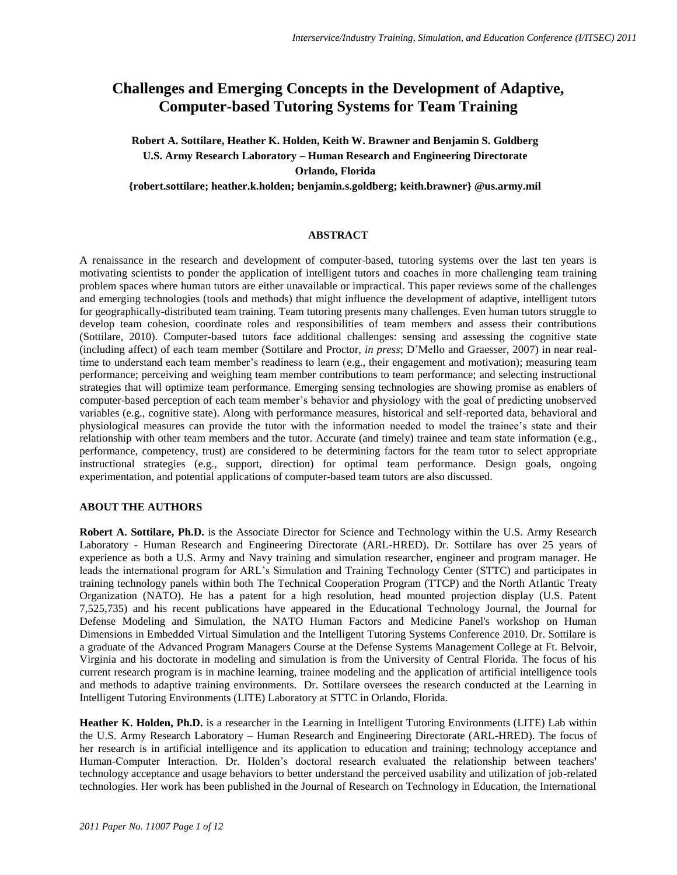## **Challenges and Emerging Concepts in the Development of Adaptive, Computer-based Tutoring Systems for Team Training**

## **Robert A. Sottilare, Heather K. Holden, Keith W. Brawner and Benjamin S. Goldberg U.S. Army Research Laboratory – Human Research and Engineering Directorate Orlando, Florida**

**{robert.sottilare; heather.k.holden; benjamin.s.goldberg; keith.brawner} @us.army.mil**

## **ABSTRACT**

A renaissance in the research and development of computer-based, tutoring systems over the last ten years is motivating scientists to ponder the application of intelligent tutors and coaches in more challenging team training problem spaces where human tutors are either unavailable or impractical. This paper reviews some of the challenges and emerging technologies (tools and methods) that might influence the development of adaptive, intelligent tutors for geographically-distributed team training. Team tutoring presents many challenges. Even human tutors struggle to develop team cohesion, coordinate roles and responsibilities of team members and assess their contributions (Sottilare, 2010). Computer-based tutors face additional challenges: sensing and assessing the cognitive state (including affect) of each team member (Sottilare and Proctor, *in press*; D"Mello and Graesser, 2007) in near realtime to understand each team member's readiness to learn (e.g., their engagement and motivation); measuring team performance; perceiving and weighing team member contributions to team performance; and selecting instructional strategies that will optimize team performance. Emerging sensing technologies are showing promise as enablers of computer-based perception of each team member"s behavior and physiology with the goal of predicting unobserved variables (e.g., cognitive state). Along with performance measures, historical and self-reported data, behavioral and physiological measures can provide the tutor with the information needed to model the trainee"s state and their relationship with other team members and the tutor. Accurate (and timely) trainee and team state information (e.g., performance, competency, trust) are considered to be determining factors for the team tutor to select appropriate instructional strategies (e.g., support, direction) for optimal team performance. Design goals, ongoing experimentation, and potential applications of computer-based team tutors are also discussed.

## **ABOUT THE AUTHORS**

**Robert A. Sottilare, Ph.D.** is the Associate Director for Science and Technology within the U.S. Army Research Laboratory - Human Research and Engineering Directorate (ARL-HRED). Dr. Sottilare has over 25 years of experience as both a U.S. Army and Navy training and simulation researcher, engineer and program manager. He leads the international program for ARL"s Simulation and Training Technology Center (STTC) and participates in training technology panels within both The Technical Cooperation Program (TTCP) and the North Atlantic Treaty Organization (NATO). He has a patent for a high resolution, head mounted projection display (U.S. Patent 7,525,735) and his recent publications have appeared in the Educational Technology Journal, the Journal for Defense Modeling and Simulation, the NATO Human Factors and Medicine Panel's workshop on Human Dimensions in Embedded Virtual Simulation and the Intelligent Tutoring Systems Conference 2010. Dr. Sottilare is a graduate of the Advanced Program Managers Course at the Defense Systems Management College at Ft. Belvoir, Virginia and his doctorate in modeling and simulation is from the University of Central Florida. The focus of his current research program is in machine learning, trainee modeling and the application of artificial intelligence tools and methods to adaptive training environments. Dr. Sottilare oversees the research conducted at the Learning in Intelligent Tutoring Environments (LITE) Laboratory at STTC in Orlando, Florida.

**Heather K. Holden, Ph.D.** is a researcher in the Learning in Intelligent Tutoring Environments (LITE) Lab within the U.S. Army Research Laboratory – Human Research and Engineering Directorate (ARL-HRED). The focus of her research is in artificial intelligence and its application to education and training; technology acceptance and Human-Computer Interaction. Dr. Holden"s doctoral research evaluated the relationship between teachers' technology acceptance and usage behaviors to better understand the perceived usability and utilization of job-related technologies. Her work has been published in the Journal of Research on Technology in Education, the International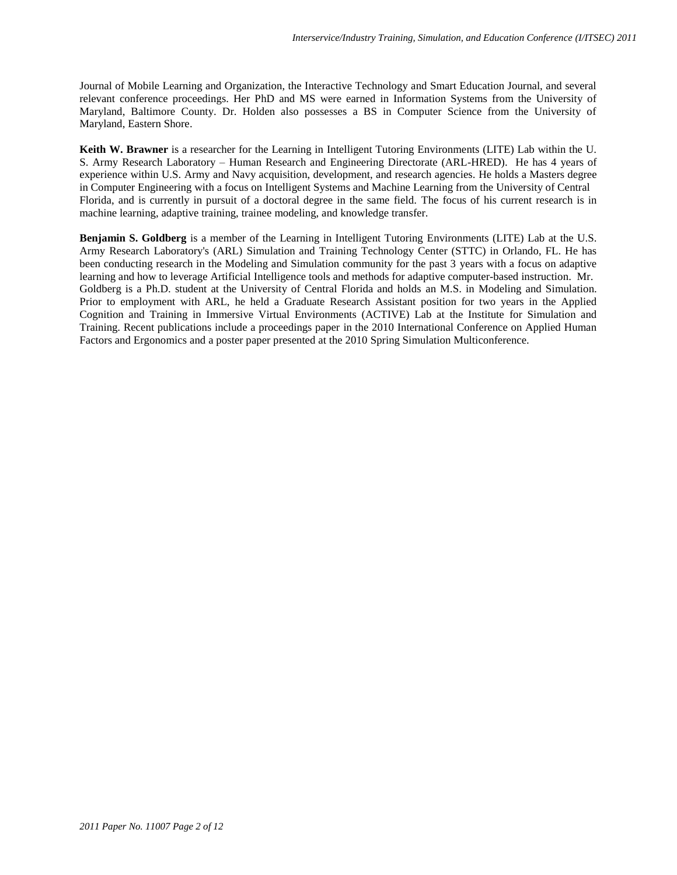Journal of Mobile Learning and Organization, the Interactive Technology and Smart Education Journal, and several relevant conference proceedings. Her PhD and MS were earned in Information Systems from the University of Maryland, Baltimore County. Dr. Holden also possesses a BS in Computer Science from the University of Maryland, Eastern Shore.

**Keith W. Brawner** is a researcher for the Learning in Intelligent Tutoring Environments (LITE) Lab within the U. S. Army Research Laboratory – Human Research and Engineering Directorate (ARL-HRED). He has 4 years of experience within U.S. Army and Navy acquisition, development, and research agencies. He holds a Masters degree in Computer Engineering with a focus on Intelligent Systems and Machine Learning from the University of Central Florida, and is currently in pursuit of a doctoral degree in the same field. The focus of his current research is in machine learning, adaptive training, trainee modeling, and knowledge transfer.

**Benjamin S. Goldberg** is a member of the Learning in Intelligent Tutoring Environments (LITE) Lab at the U.S. Army Research Laboratory's (ARL) Simulation and Training Technology Center (STTC) in Orlando, FL. He has been conducting research in the Modeling and Simulation community for the past 3 years with a focus on adaptive learning and how to leverage Artificial Intelligence tools and methods for adaptive computer-based instruction. Mr. Goldberg is a Ph.D. student at the University of Central Florida and holds an M.S. in Modeling and Simulation. Prior to employment with ARL, he held a Graduate Research Assistant position for two years in the Applied Cognition and Training in Immersive Virtual Environments (ACTIVE) Lab at the Institute for Simulation and Training. Recent publications include a proceedings paper in the 2010 International Conference on Applied Human Factors and Ergonomics and a poster paper presented at the 2010 Spring Simulation Multiconference.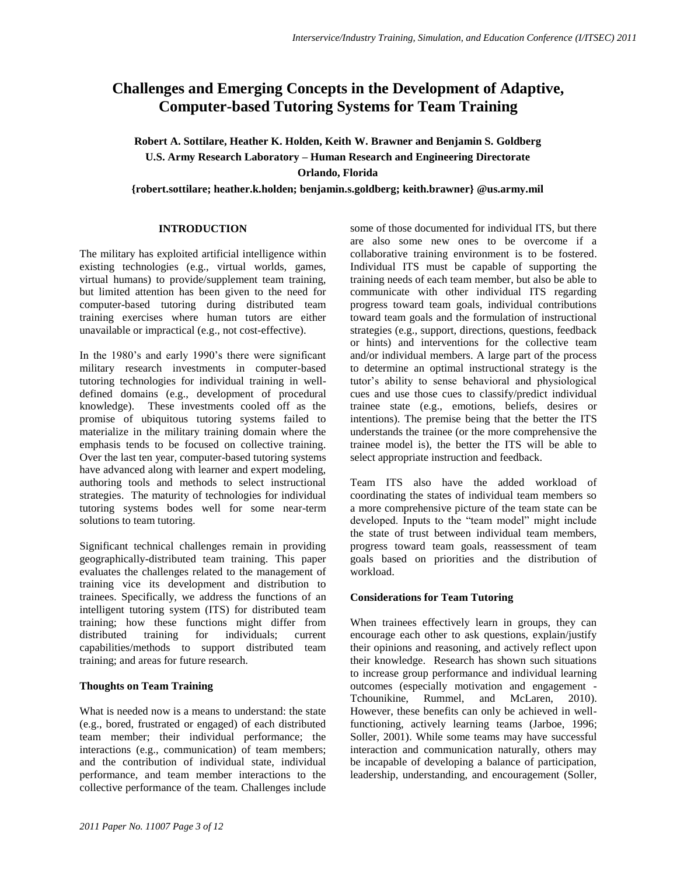# **Challenges and Emerging Concepts in the Development of Adaptive, Computer-based Tutoring Systems for Team Training**

**Robert A. Sottilare, Heather K. Holden, Keith W. Brawner and Benjamin S. Goldberg U.S. Army Research Laboratory – Human Research and Engineering Directorate Orlando, Florida**

**{robert.sottilare; heather.k.holden; benjamin.s.goldberg; keith.brawner} @us.army.mil**

## **INTRODUCTION**

The military has exploited artificial intelligence within existing technologies (e.g., virtual worlds, games, virtual humans) to provide/supplement team training, but limited attention has been given to the need for computer-based tutoring during distributed team training exercises where human tutors are either unavailable or impractical (e.g., not cost-effective).

In the 1980"s and early 1990"s there were significant military research investments in computer-based tutoring technologies for individual training in welldefined domains (e.g., development of procedural knowledge). These investments cooled off as the promise of ubiquitous tutoring systems failed to materialize in the military training domain where the emphasis tends to be focused on collective training. Over the last ten year, computer-based tutoring systems have advanced along with learner and expert modeling, authoring tools and methods to select instructional strategies. The maturity of technologies for individual tutoring systems bodes well for some near-term solutions to team tutoring.

Significant technical challenges remain in providing geographically-distributed team training. This paper evaluates the challenges related to the management of training vice its development and distribution to trainees. Specifically, we address the functions of an intelligent tutoring system (ITS) for distributed team training; how these functions might differ from distributed training for individuals; current capabilities/methods to support distributed team training; and areas for future research.

## **Thoughts on Team Training**

What is needed now is a means to understand: the state (e.g., bored, frustrated or engaged) of each distributed team member; their individual performance; the interactions (e.g., communication) of team members; and the contribution of individual state, individual performance, and team member interactions to the collective performance of the team. Challenges include

some of those documented for individual ITS, but there are also some new ones to be overcome if a collaborative training environment is to be fostered. Individual ITS must be capable of supporting the training needs of each team member, but also be able to communicate with other individual ITS regarding progress toward team goals, individual contributions toward team goals and the formulation of instructional strategies (e.g., support, directions, questions, feedback or hints) and interventions for the collective team and/or individual members. A large part of the process to determine an optimal instructional strategy is the tutor"s ability to sense behavioral and physiological cues and use those cues to classify/predict individual trainee state (e.g., emotions, beliefs, desires or intentions). The premise being that the better the ITS understands the trainee (or the more comprehensive the trainee model is), the better the ITS will be able to select appropriate instruction and feedback.

Team ITS also have the added workload of coordinating the states of individual team members so a more comprehensive picture of the team state can be developed. Inputs to the "team model" might include the state of trust between individual team members, progress toward team goals, reassessment of team goals based on priorities and the distribution of workload.

## **Considerations for Team Tutoring**

When trainees effectively learn in groups, they can encourage each other to ask questions, explain/justify their opinions and reasoning, and actively reflect upon their knowledge. Research has shown such situations to increase group performance and individual learning outcomes (especially motivation and engagement - Tchounikine, Rummel, and McLaren, 2010). However, these benefits can only be achieved in wellfunctioning, actively learning teams (Jarboe, 1996; Soller, 2001). While some teams may have successful interaction and communication naturally, others may be incapable of developing a balance of participation, leadership, understanding, and encouragement (Soller,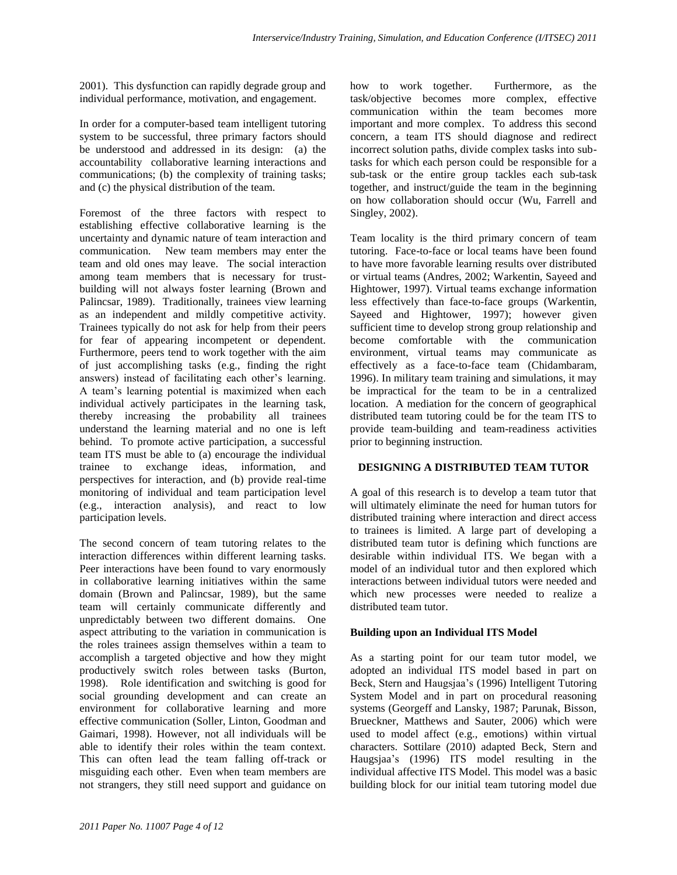2001). This dysfunction can rapidly degrade group and individual performance, motivation, and engagement.

In order for a computer-based team intelligent tutoring system to be successful, three primary factors should be understood and addressed in its design: (a) the accountability collaborative learning interactions and communications; (b) the complexity of training tasks; and (c) the physical distribution of the team.

Foremost of the three factors with respect to establishing effective collaborative learning is the uncertainty and dynamic nature of team interaction and communication. New team members may enter the team and old ones may leave. The social interaction among team members that is necessary for trustbuilding will not always foster learning (Brown and Palincsar, 1989). Traditionally, trainees view learning as an independent and mildly competitive activity. Trainees typically do not ask for help from their peers for fear of appearing incompetent or dependent. Furthermore, peers tend to work together with the aim of just accomplishing tasks (e.g., finding the right answers) instead of facilitating each other"s learning. A team"s learning potential is maximized when each individual actively participates in the learning task, thereby increasing the probability all trainees understand the learning material and no one is left behind. To promote active participation, a successful team ITS must be able to (a) encourage the individual trainee to exchange ideas, information, and perspectives for interaction, and (b) provide real-time monitoring of individual and team participation level (e.g., interaction analysis), and react to low participation levels.

The second concern of team tutoring relates to the interaction differences within different learning tasks. Peer interactions have been found to vary enormously in collaborative learning initiatives within the same domain (Brown and Palincsar, 1989), but the same team will certainly communicate differently and unpredictably between two different domains. One aspect attributing to the variation in communication is the roles trainees assign themselves within a team to accomplish a targeted objective and how they might productively switch roles between tasks (Burton, 1998). Role identification and switching is good for social grounding development and can create an environment for collaborative learning and more effective communication (Soller, Linton, Goodman and Gaimari, 1998). However, not all individuals will be able to identify their roles within the team context. This can often lead the team falling off-track or misguiding each other. Even when team members are not strangers, they still need support and guidance on how to work together. Furthermore, as the task/objective becomes more complex, effective communication within the team becomes more important and more complex. To address this second concern, a team ITS should diagnose and redirect incorrect solution paths, divide complex tasks into subtasks for which each person could be responsible for a sub-task or the entire group tackles each sub-task together, and instruct/guide the team in the beginning on how collaboration should occur (Wu, Farrell and Singley, 2002).

Team locality is the third primary concern of team tutoring. Face-to-face or local teams have been found to have more favorable learning results over distributed or virtual teams (Andres, 2002; Warkentin, Sayeed and Hightower, 1997). Virtual teams exchange information less effectively than face-to-face groups (Warkentin, Sayeed and Hightower, 1997); however given sufficient time to develop strong group relationship and become comfortable with the communication environment, virtual teams may communicate as effectively as a face-to-face team (Chidambaram, 1996). In military team training and simulations, it may be impractical for the team to be in a centralized location. A mediation for the concern of geographical distributed team tutoring could be for the team ITS to provide team-building and team-readiness activities prior to beginning instruction.

## **DESIGNING A DISTRIBUTED TEAM TUTOR**

A goal of this research is to develop a team tutor that will ultimately eliminate the need for human tutors for distributed training where interaction and direct access to trainees is limited. A large part of developing a distributed team tutor is defining which functions are desirable within individual ITS. We began with a model of an individual tutor and then explored which interactions between individual tutors were needed and which new processes were needed to realize a distributed team tutor.

#### **Building upon an Individual ITS Model**

As a starting point for our team tutor model, we adopted an individual ITS model based in part on Beck, Stern and Haugsjaa"s (1996) Intelligent Tutoring System Model and in part on procedural reasoning systems (Georgeff and Lansky, 1987; Parunak, Bisson, Brueckner, Matthews and Sauter, 2006) which were used to model affect (e.g., emotions) within virtual characters. Sottilare (2010) adapted Beck, Stern and Haugsjaa"s (1996) ITS model resulting in the individual affective ITS Model. This model was a basic building block for our initial team tutoring model due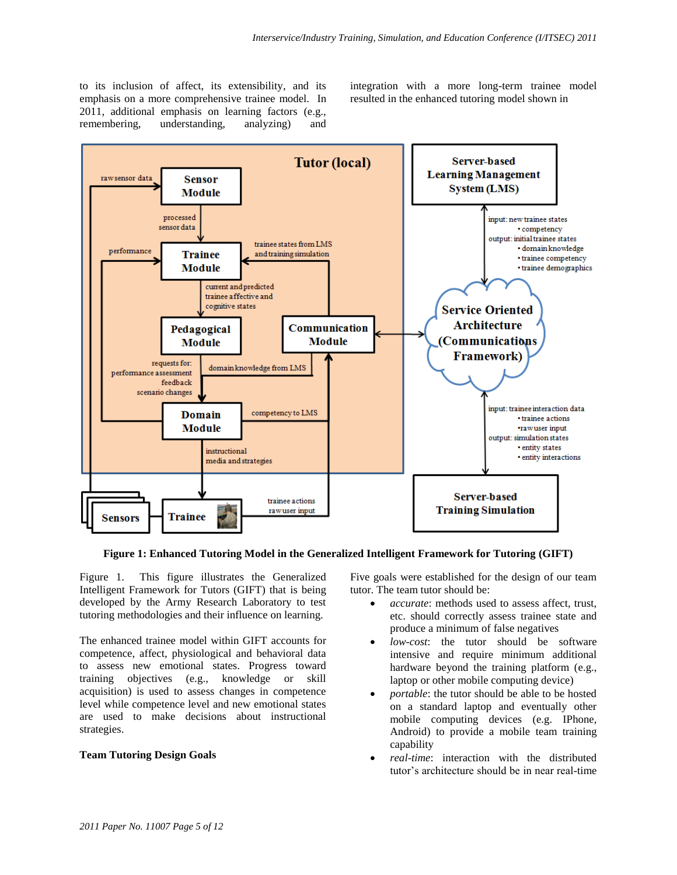to its inclusion of affect, its extensibility, and its emphasis on a more comprehensive trainee model. In 2011, additional emphasis on learning factors (e.g., remembering, understanding, analyzing) and integration with a more long-term trainee model resulted in the enhanced tutoring model shown in



**Figure 1: Enhanced Tutoring Model in the Generalized Intelligent Framework for Tutoring (GIFT)**

<span id="page-4-0"></span>[Figure 1.](#page-4-0) This figure illustrates the Generalized Intelligent Framework for Tutors (GIFT) that is being developed by the Army Research Laboratory to test tutoring methodologies and their influence on learning.

The enhanced trainee model within GIFT accounts for competence, affect, physiological and behavioral data to assess new emotional states. Progress toward training objectives (e.g., knowledge or skill acquisition) is used to assess changes in competence level while competence level and new emotional states are used to make decisions about instructional strategies.

#### **Team Tutoring Design Goals**

Five goals were established for the design of our team tutor. The team tutor should be:

- *accurate*: methods used to assess affect, trust, etc. should correctly assess trainee state and produce a minimum of false negatives
- *low-cost*: the tutor should be software intensive and require minimum additional hardware beyond the training platform (e.g., laptop or other mobile computing device)
- *portable*: the tutor should be able to be hosted on a standard laptop and eventually other mobile computing devices (e.g. IPhone, Android) to provide a mobile team training capability
- *real-time*: interaction with the distributed tutor"s architecture should be in near real-time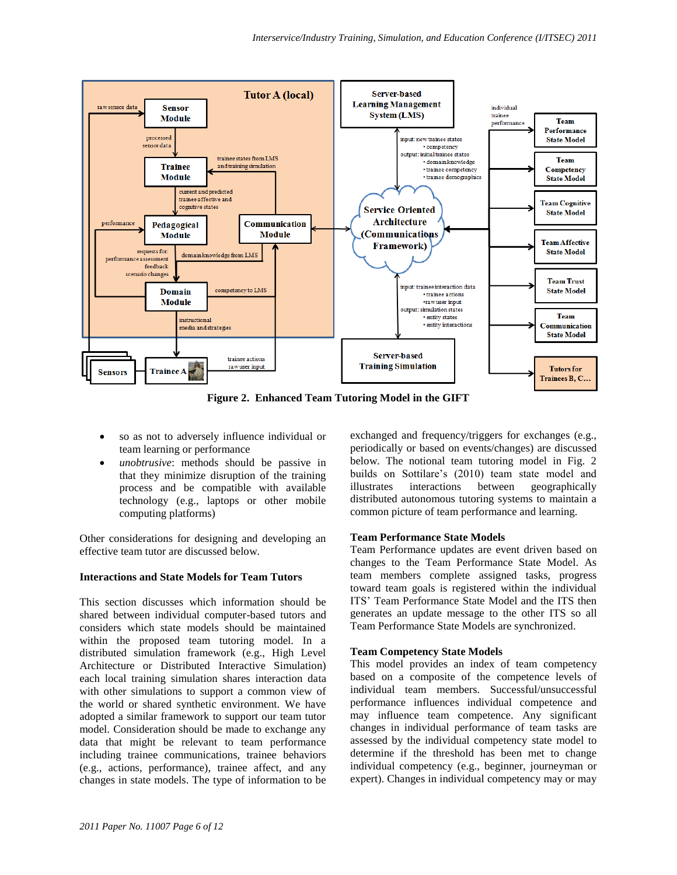

**Figure 2. Enhanced Team Tutoring Model in the GIFT**

- so as not to adversely influence individual or team learning or performance
- *unobtrusive*: methods should be passive in that they minimize disruption of the training process and be compatible with available technology (e.g., laptops or other mobile computing platforms)

Other considerations for designing and developing an effective team tutor are discussed below.

#### **Interactions and State Models for Team Tutors**

This section discusses which information should be shared between individual computer-based tutors and considers which state models should be maintained within the proposed team tutoring model. In a distributed simulation framework (e.g., High Level Architecture or Distributed Interactive Simulation) each local training simulation shares interaction data with other simulations to support a common view of the world or shared synthetic environment. We have adopted a similar framework to support our team tutor model. Consideration should be made to exchange any data that might be relevant to team performance including trainee communications, trainee behaviors (e.g., actions, performance), trainee affect, and any changes in state models. The type of information to be exchanged and frequency/triggers for exchanges (e.g., periodically or based on events/changes) are discussed below. The notional team tutoring model in Fig. 2 builds on Sottilare's (2010) team state model and illustrates interactions between geographically distributed autonomous tutoring systems to maintain a common picture of team performance and learning.

## **Team Performance State Models**

Team Performance updates are event driven based on changes to the Team Performance State Model. As team members complete assigned tasks, progress toward team goals is registered within the individual ITS" Team Performance State Model and the ITS then generates an update message to the other ITS so all Team Performance State Models are synchronized.

#### **Team Competency State Models**

This model provides an index of team competency based on a composite of the competence levels of individual team members. Successful/unsuccessful performance influences individual competence and may influence team competence. Any significant changes in individual performance of team tasks are assessed by the individual competency state model to determine if the threshold has been met to change individual competency (e.g., beginner, journeyman or expert). Changes in individual competency may or may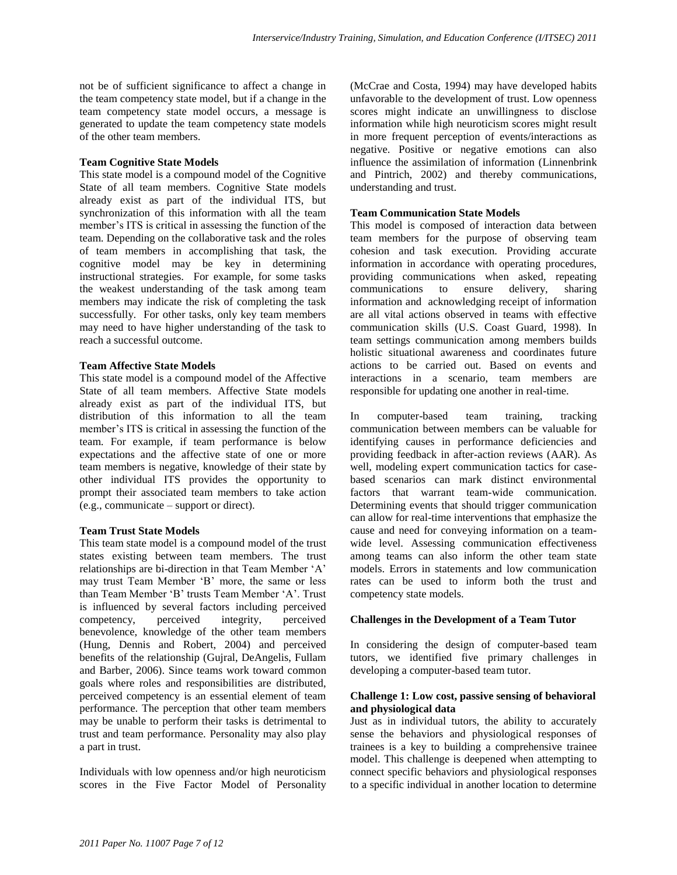not be of sufficient significance to affect a change in the team competency state model, but if a change in the team competency state model occurs, a message is generated to update the team competency state models of the other team members.

### **Team Cognitive State Models**

This state model is a compound model of the Cognitive State of all team members. Cognitive State models already exist as part of the individual ITS, but synchronization of this information with all the team member"s ITS is critical in assessing the function of the team. Depending on the collaborative task and the roles of team members in accomplishing that task, the cognitive model may be key in determining instructional strategies. For example, for some tasks the weakest understanding of the task among team members may indicate the risk of completing the task successfully. For other tasks, only key team members may need to have higher understanding of the task to reach a successful outcome.

### **Team Affective State Models**

This state model is a compound model of the Affective State of all team members. Affective State models already exist as part of the individual ITS, but distribution of this information to all the team member"s ITS is critical in assessing the function of the team. For example, if team performance is below expectations and the affective state of one or more team members is negative, knowledge of their state by other individual ITS provides the opportunity to prompt their associated team members to take action (e.g., communicate – support or direct).

#### **Team Trust State Models**

This team state model is a compound model of the trust states existing between team members. The trust relationships are bi-direction in that Team Member "A" may trust Team Member "B" more, the same or less than Team Member "B" trusts Team Member "A". Trust is influenced by several factors including perceived<br>competency, perceived integrity, perceived competency, perceived integrity, perceived benevolence, knowledge of the other team members (Hung, Dennis and Robert, 2004) and perceived benefits of the relationship (Gujral, DeAngelis, Fullam and Barber, 2006). Since teams work toward common goals where roles and responsibilities are distributed, perceived competency is an essential element of team performance. The perception that other team members may be unable to perform their tasks is detrimental to trust and team performance. Personality may also play a part in trust.

Individuals with low openness and/or high neuroticism scores in the Five Factor Model of Personality

(McCrae and Costa, 1994) may have developed habits unfavorable to the development of trust. Low openness scores might indicate an unwillingness to disclose information while high neuroticism scores might result in more frequent perception of events/interactions as negative. Positive or negative emotions can also influence the assimilation of information (Linnenbrink and Pintrich, 2002) and thereby communications, understanding and trust.

### **Team Communication State Models**

This model is composed of interaction data between team members for the purpose of observing team cohesion and task execution. Providing accurate information in accordance with operating procedures, providing communications when asked, repeating communications to ensure delivery, sharing information and acknowledging receipt of information are all vital actions observed in teams with effective communication skills (U.S. Coast Guard, 1998). In team settings communication among members builds holistic situational awareness and coordinates future actions to be carried out. Based on events and interactions in a scenario, team members are responsible for updating one another in real-time.

In computer-based team training, tracking communication between members can be valuable for identifying causes in performance deficiencies and providing feedback in after-action reviews (AAR). As well, modeling expert communication tactics for casebased scenarios can mark distinct environmental factors that warrant team-wide communication. Determining events that should trigger communication can allow for real-time interventions that emphasize the cause and need for conveying information on a teamwide level. Assessing communication effectiveness among teams can also inform the other team state models. Errors in statements and low communication rates can be used to inform both the trust and competency state models.

## **Challenges in the Development of a Team Tutor**

In considering the design of computer-based team tutors, we identified five primary challenges in developing a computer-based team tutor.

### **Challenge 1: Low cost, passive sensing of behavioral and physiological data**

Just as in individual tutors, the ability to accurately sense the behaviors and physiological responses of trainees is a key to building a comprehensive trainee model. This challenge is deepened when attempting to connect specific behaviors and physiological responses to a specific individual in another location to determine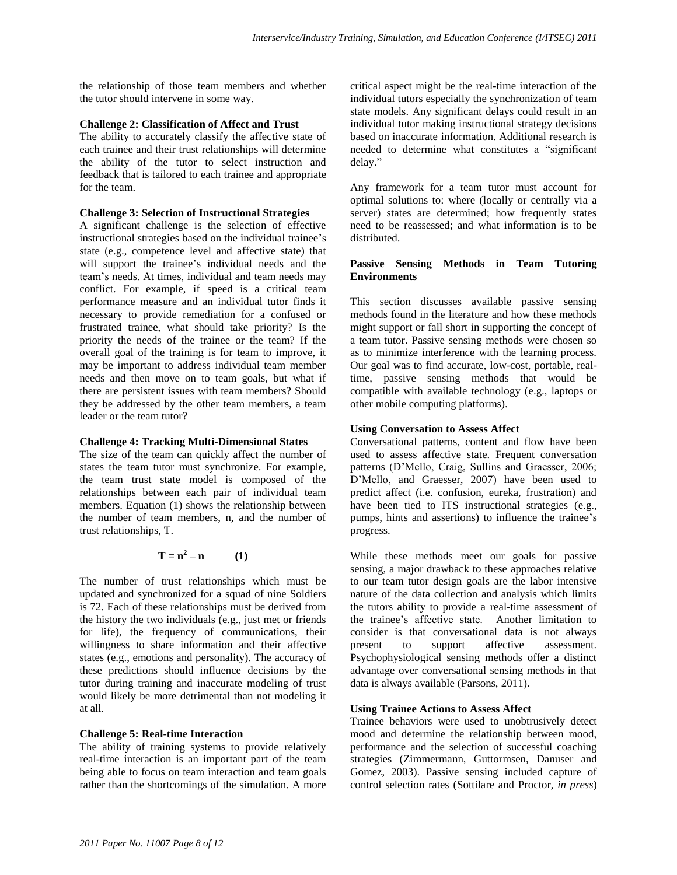the relationship of those team members and whether the tutor should intervene in some way.

#### **Challenge 2: Classification of Affect and Trust**

The ability to accurately classify the affective state of each trainee and their trust relationships will determine the ability of the tutor to select instruction and feedback that is tailored to each trainee and appropriate for the team.

#### **Challenge 3: Selection of Instructional Strategies**

A significant challenge is the selection of effective instructional strategies based on the individual trainee"s state (e.g., competence level and affective state) that will support the trainee's individual needs and the team"s needs. At times, individual and team needs may conflict. For example, if speed is a critical team performance measure and an individual tutor finds it necessary to provide remediation for a confused or frustrated trainee, what should take priority? Is the priority the needs of the trainee or the team? If the overall goal of the training is for team to improve, it may be important to address individual team member needs and then move on to team goals, but what if there are persistent issues with team members? Should they be addressed by the other team members, a team leader or the team tutor?

## **Challenge 4: Tracking Multi-Dimensional States**

The size of the team can quickly affect the number of states the team tutor must synchronize. For example, the team trust state model is composed of the relationships between each pair of individual team members. Equation (1) shows the relationship between the number of team members, n, and the number of trust relationships, T.

$$
\mathbf{T} = \mathbf{n}^2 - \mathbf{n} \tag{1}
$$

The number of trust relationships which must be updated and synchronized for a squad of nine Soldiers is 72. Each of these relationships must be derived from the history the two individuals (e.g., just met or friends for life), the frequency of communications, their willingness to share information and their affective states (e.g., emotions and personality). The accuracy of these predictions should influence decisions by the tutor during training and inaccurate modeling of trust would likely be more detrimental than not modeling it at all.

## **Challenge 5: Real-time Interaction**

The ability of training systems to provide relatively real-time interaction is an important part of the team being able to focus on team interaction and team goals rather than the shortcomings of the simulation. A more

critical aspect might be the real-time interaction of the individual tutors especially the synchronization of team state models. Any significant delays could result in an individual tutor making instructional strategy decisions based on inaccurate information. Additional research is needed to determine what constitutes a "significant delay."

Any framework for a team tutor must account for optimal solutions to: where (locally or centrally via a server) states are determined; how frequently states need to be reassessed; and what information is to be distributed.

## **Passive Sensing Methods in Team Tutoring Environments**

This section discusses available passive sensing methods found in the literature and how these methods might support or fall short in supporting the concept of a team tutor. Passive sensing methods were chosen so as to minimize interference with the learning process. Our goal was to find accurate, low-cost, portable, realtime, passive sensing methods that would be compatible with available technology (e.g., laptops or other mobile computing platforms).

## **Using Conversation to Assess Affect**

Conversational patterns, content and flow have been used to assess affective state. Frequent conversation patterns (D"Mello, Craig, Sullins and Graesser, 2006; D"Mello, and Graesser, 2007) have been used to predict affect (i.e. confusion, eureka, frustration) and have been tied to ITS instructional strategies (e.g., pumps, hints and assertions) to influence the trainee"s progress.

While these methods meet our goals for passive sensing, a major drawback to these approaches relative to our team tutor design goals are the labor intensive nature of the data collection and analysis which limits the tutors ability to provide a real-time assessment of the trainee"s affective state. Another limitation to consider is that conversational data is not always present to support affective assessment. Psychophysiological sensing methods offer a distinct advantage over conversational sensing methods in that data is always available (Parsons, 2011).

## **Using Trainee Actions to Assess Affect**

Trainee behaviors were used to unobtrusively detect mood and determine the relationship between mood, performance and the selection of successful coaching strategies (Zimmermann, Guttormsen, Danuser and Gomez, 2003). Passive sensing included capture of control selection rates (Sottilare and Proctor, *in press*)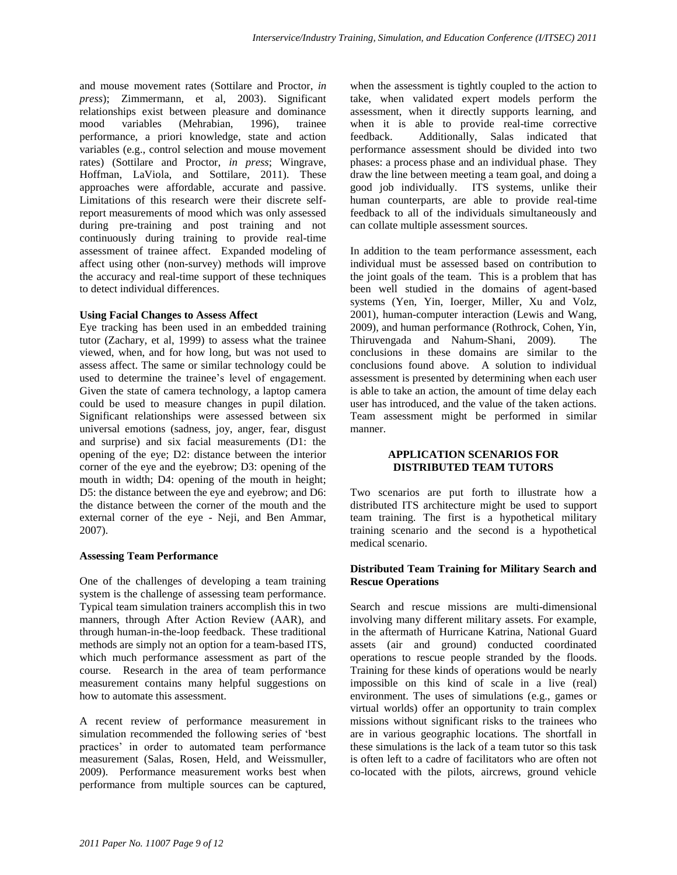and mouse movement rates (Sottilare and Proctor, *in press*); Zimmermann, et al, 2003). Significant relationships exist between pleasure and dominance mood variables (Mehrabian, 1996), trainee performance, a priori knowledge, state and action variables (e.g., control selection and mouse movement rates) (Sottilare and Proctor, *in press*; Wingrave, Hoffman, LaViola, and Sottilare, 2011). These approaches were affordable, accurate and passive. Limitations of this research were their discrete selfreport measurements of mood which was only assessed during pre-training and post training and not continuously during training to provide real-time assessment of trainee affect. Expanded modeling of affect using other (non-survey) methods will improve the accuracy and real-time support of these techniques to detect individual differences.

#### **Using Facial Changes to Assess Affect**

Eye tracking has been used in an embedded training tutor (Zachary, et al, 1999) to assess what the trainee viewed, when, and for how long, but was not used to assess affect. The same or similar technology could be used to determine the trainee"s level of engagement. Given the state of camera technology, a laptop camera could be used to measure changes in pupil dilation. Significant relationships were assessed between six universal emotions (sadness, joy, anger, fear, disgust and surprise) and six facial measurements (D1: the opening of the eye; D2: distance between the interior corner of the eye and the eyebrow; D3: opening of the mouth in width; D4: opening of the mouth in height; D5: the distance between the eye and eyebrow; and D6: the distance between the corner of the mouth and the external corner of the eye - Neji, and Ben Ammar, 2007).

#### **Assessing Team Performance**

One of the challenges of developing a team training system is the challenge of assessing team performance. Typical team simulation trainers accomplish this in two manners, through After Action Review (AAR), and through human-in-the-loop feedback. These traditional methods are simply not an option for a team-based ITS, which much performance assessment as part of the course. Research in the area of team performance measurement contains many helpful suggestions on how to automate this assessment.

A recent review of performance measurement in simulation recommended the following series of "best practices' in order to automated team performance measurement (Salas, Rosen, Held, and Weissmuller, 2009). Performance measurement works best when performance from multiple sources can be captured,

when the assessment is tightly coupled to the action to take, when validated expert models perform the assessment, when it directly supports learning, and when it is able to provide real-time corrective feedback. Additionally, Salas indicated that performance assessment should be divided into two phases: a process phase and an individual phase. They draw the line between meeting a team goal, and doing a good job individually. ITS systems, unlike their human counterparts, are able to provide real-time feedback to all of the individuals simultaneously and can collate multiple assessment sources.

In addition to the team performance assessment, each individual must be assessed based on contribution to the joint goals of the team. This is a problem that has been well studied in the domains of agent-based systems (Yen, Yin, Ioerger, Miller, Xu and Volz, 2001), human-computer interaction (Lewis and Wang, 2009), and human performance (Rothrock, Cohen, Yin, Thiruvengada and Nahum-Shani, 2009). The conclusions in these domains are similar to the conclusions found above. A solution to individual assessment is presented by determining when each user is able to take an action, the amount of time delay each user has introduced, and the value of the taken actions. Team assessment might be performed in similar manner.

#### **APPLICATION SCENARIOS FOR DISTRIBUTED TEAM TUTORS**

Two scenarios are put forth to illustrate how a distributed ITS architecture might be used to support team training. The first is a hypothetical military training scenario and the second is a hypothetical medical scenario.

### **Distributed Team Training for Military Search and Rescue Operations**

Search and rescue missions are multi-dimensional involving many different military assets. For example, in the aftermath of Hurricane Katrina, National Guard assets (air and ground) conducted coordinated operations to rescue people stranded by the floods. Training for these kinds of operations would be nearly impossible on this kind of scale in a live (real) environment. The uses of simulations (e.g., games or virtual worlds) offer an opportunity to train complex missions without significant risks to the trainees who are in various geographic locations. The shortfall in these simulations is the lack of a team tutor so this task is often left to a cadre of facilitators who are often not co-located with the pilots, aircrews, ground vehicle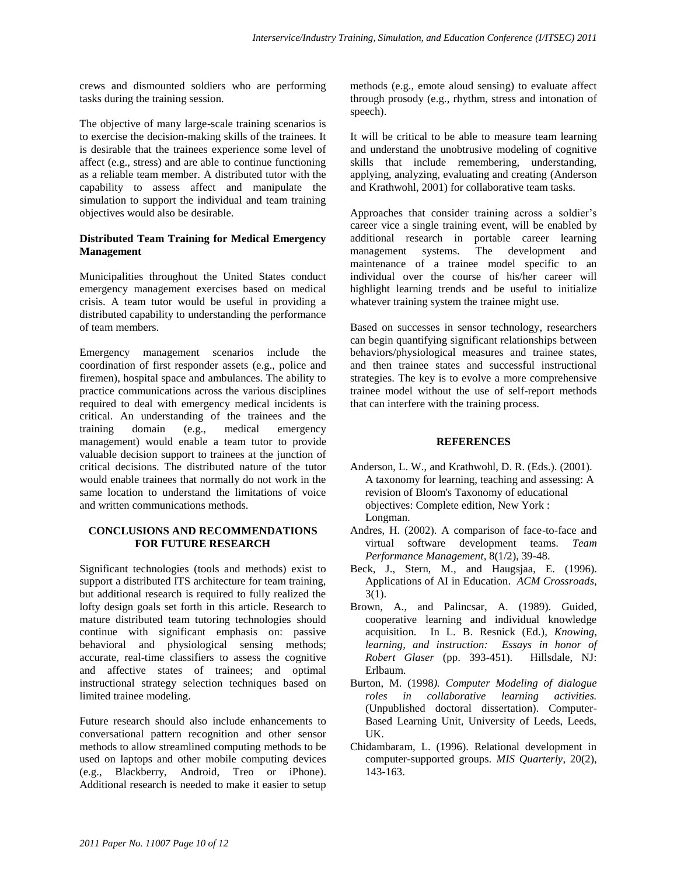crews and dismounted soldiers who are performing tasks during the training session.

The objective of many large-scale training scenarios is to exercise the decision-making skills of the trainees. It is desirable that the trainees experience some level of affect (e.g., stress) and are able to continue functioning as a reliable team member. A distributed tutor with the capability to assess affect and manipulate the simulation to support the individual and team training objectives would also be desirable.

## **Distributed Team Training for Medical Emergency Management**

Municipalities throughout the United States conduct emergency management exercises based on medical crisis. A team tutor would be useful in providing a distributed capability to understanding the performance of team members.

Emergency management scenarios include the coordination of first responder assets (e.g., police and firemen), hospital space and ambulances. The ability to practice communications across the various disciplines required to deal with emergency medical incidents is critical. An understanding of the trainees and the training domain (e.g., medical emergency management) would enable a team tutor to provide valuable decision support to trainees at the junction of critical decisions. The distributed nature of the tutor would enable trainees that normally do not work in the same location to understand the limitations of voice and written communications methods.

### **CONCLUSIONS AND RECOMMENDATIONS FOR FUTURE RESEARCH**

Significant technologies (tools and methods) exist to support a distributed ITS architecture for team training, but additional research is required to fully realized the lofty design goals set forth in this article. Research to mature distributed team tutoring technologies should continue with significant emphasis on: passive behavioral and physiological sensing methods; accurate, real-time classifiers to assess the cognitive and affective states of trainees; and optimal instructional strategy selection techniques based on limited trainee modeling.

Future research should also include enhancements to conversational pattern recognition and other sensor methods to allow streamlined computing methods to be used on laptops and other mobile computing devices (e.g., Blackberry, Android, Treo or iPhone). Additional research is needed to make it easier to setup

methods (e.g., emote aloud sensing) to evaluate affect through prosody (e.g., rhythm, stress and intonation of speech).

It will be critical to be able to measure team learning and understand the unobtrusive modeling of cognitive skills that include remembering, understanding, applying, analyzing, evaluating and creating (Anderson and Krathwohl, 2001) for collaborative team tasks.

Approaches that consider training across a soldier"s career vice a single training event, will be enabled by additional research in portable career learning management systems. The development and maintenance of a trainee model specific to an individual over the course of his/her career will highlight learning trends and be useful to initialize whatever training system the trainee might use.

Based on successes in sensor technology, researchers can begin quantifying significant relationships between behaviors/physiological measures and trainee states, and then trainee states and successful instructional strategies. The key is to evolve a more comprehensive trainee model without the use of self-report methods that can interfere with the training process.

## **REFERENCES**

- Anderson, L. W., and Krathwohl, D. R. (Eds.). (2001). A taxonomy for learning, teaching and assessing: A revision of Bloom's Taxonomy of educational objectives: Complete edition, New York : Longman.
- Andres, H. (2002). A comparison of face-to-face and virtual software development teams. *Team Performance Management*, 8(1/2), 39-48.
- Beck, J., Stern, M., and Haugsjaa, E. (1996). Applications of AI in Education. *ACM Crossroads*, 3(1).
- Brown, A., and Palincsar, A. (1989). Guided, cooperative learning and individual knowledge acquisition. In L. B. Resnick (Ed.), *Knowing, learning, and instruction: Essays in honor of Robert Glaser* (pp. 393-451). Hillsdale, NJ: Erlbaum.
- Burton, M. (1998*). Computer Modeling of dialogue roles in collaborative learning activities.* (Unpublished doctoral dissertation). Computer-Based Learning Unit, University of Leeds, Leeds, UK.
- Chidambaram, L. (1996). Relational development in computer-supported groups. *MIS Quarterly*, 20(2), 143-163.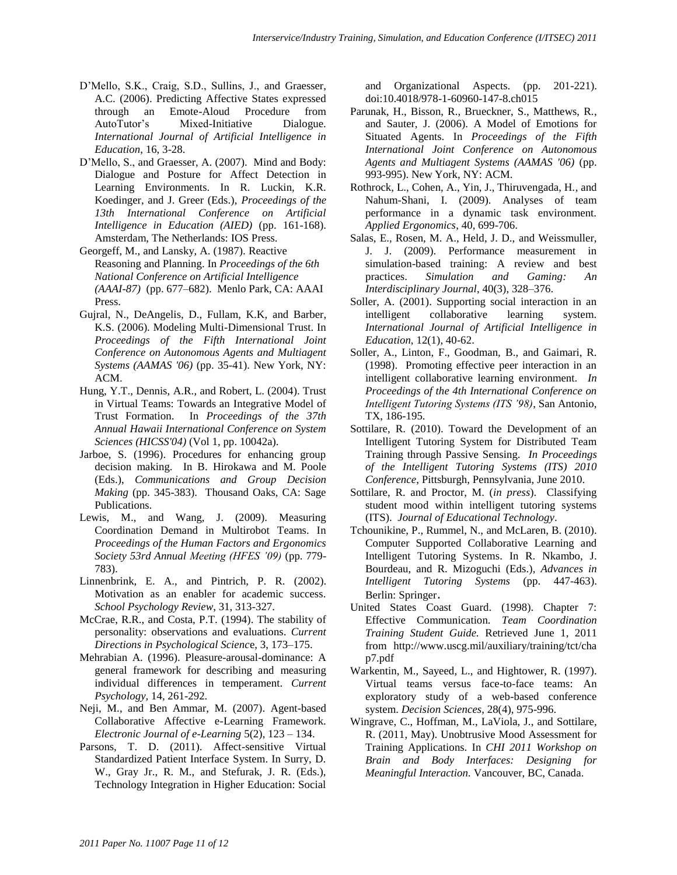- D"Mello, S.K., Craig, S.D., Sullins, J., and Graesser, A.C. (2006). Predicting Affective States expressed through an Emote-Aloud Procedure from AutoTutor"s Mixed-Initiative Dialogue. *International Journal of Artificial Intelligence in Education*, 16, 3-28.
- D"Mello, S., and Graesser, A. (2007). Mind and Body: Dialogue and Posture for Affect Detection in Learning Environments. In R. Luckin, K.R. Koedinger, and J. Greer (Eds.), *Proceedings of the 13th International Conference on Artificial Intelligence in Education (AIED)* (pp. 161-168). Amsterdam, The Netherlands: IOS Press.
- Georgeff, M., and Lansky, A. (1987). Reactive Reasoning and Planning. In *Proceedings of the 6th National Conference on Artificial Intelligence (AAAI-87)* (pp. 677–682). Menlo Park, CA: AAAI Press.
- Gujral, N., DeAngelis, D., Fullam, K.K, and Barber, K.S. (2006). Modeling Multi-Dimensional Trust. In *Proceedings of the Fifth International Joint Conference on Autonomous Agents and Multiagent Systems (AAMAS '06)* (pp. 35-41). New York, NY: ACM.
- Hung, Y.T., Dennis, A.R., and Robert, L. (2004). Trust in Virtual Teams: Towards an Integrative Model of Trust Formation. In *Proceedings of the 37th Annual Hawaii International Conference on System Sciences (HICSS'04)* (Vol 1, pp. 10042a).
- Jarboe, S. (1996). Procedures for enhancing group decision making. In B. Hirokawa and M. Poole (Eds.), *Communications and Group Decision Making* (pp. 345-383). Thousand Oaks, CA: Sage Publications.
- Lewis, M., and Wang, J. (2009). Measuring Coordination Demand in Multirobot Teams. In *Proceedings of the Human Factors and Ergonomics Society 53rd Annual Meeting (HFES '09)* (pp. 779- 783).
- Linnenbrink, E. A., and Pintrich, P. R. (2002). Motivation as an enabler for academic success. *School Psychology Review*, 31, 313-327.
- McCrae, R.R., and Costa, P.T. (1994). The stability of personality: observations and evaluations. *Current Directions in Psychological Scienc*e, 3, 173–175.
- Mehrabian A. (1996). Pleasure-arousal-dominance: A general framework for describing and measuring individual differences in temperament. *Current Psychology,* 14, 261-292.
- Neji, M., and Ben Ammar, M. (2007). Agent-based Collaborative Affective e-Learning Framework. *Electronic Journal of e-Learning* 5(2), 123 – 134.
- Parsons, T. D. (2011). Affect-sensitive Virtual Standardized Patient Interface System. In Surry, D. W., Gray Jr., R. M., and Stefurak, J. R. (Eds.), Technology Integration in Higher Education: Social

and Organizational Aspects. (pp. 201-221). doi:10.4018/978-1-60960-147-8.ch015

- Parunak, H., Bisson, R., Brueckner, S., Matthews, R., and Sauter, J. (2006). A Model of Emotions for Situated Agents. In *Proceedings of the Fifth International Joint Conference on Autonomous Agents and Multiagent Systems (AAMAS '06)* (pp. 993-995). New York, NY: ACM.
- Rothrock, L., Cohen, A., Yin, J., Thiruvengada, H., and Nahum-Shani, I. (2009). Analyses of team performance in a dynamic task environment. *Applied Ergonomics*, 40, 699-706.
- Salas, E., Rosen, M. A., Held, J. D., and Weissmuller, J. J. (2009). Performance measurement in simulation-based training: A review and best practices. *Simulation and Gaming: An Interdisciplinary Journal*, 40(3), 328–376.
- Soller, A. (2001). Supporting social interaction in an intelligent collaborative learning system. *International Journal of Artificial Intelligence in Education*, 12(1), 40-62.
- Soller, A., Linton, F., Goodman, B., and Gaimari, R. (1998). Promoting effective peer interaction in an intelligent collaborative learning environment. *In Proceedings of the 4th International Conference on Intelligent Tutoring Systems (ITS '98)*, San Antonio, TX, 186-195.
- Sottilare, R. (2010). Toward the Development of an Intelligent Tutoring System for Distributed Team Training through Passive Sensing. *In Proceedings of the Intelligent Tutoring Systems (ITS) 2010 Conference*, Pittsburgh, Pennsylvania, June 2010.
- Sottilare, R. and Proctor, M. (*in press*). Classifying student mood within intelligent tutoring systems (ITS). *Journal of Educational Technology*.
- Tchounikine, P., Rummel, N., and McLaren, B. (2010). Computer Supported Collaborative Learning and Intelligent Tutoring Systems. In R. Nkambo, J. Bourdeau, and R. Mizoguchi (Eds.), *Advances in Intelligent Tutoring Systems* (pp. 447-463). Berlin: Springer.
- United States Coast Guard. (1998). Chapter 7: Effective Communication. *Team Coordination Training Student Guide.* Retrieved June 1, 2011 from http://www.uscg.mil/auxiliary/training/tct/cha p7.pdf
- Warkentin, M., Sayeed, L., and Hightower, R. (1997). Virtual teams versus face-to-face teams: An exploratory study of a web-based conference system. *Decision Sciences*, 28(4), 975-996.
- Wingrave, C., Hoffman, M., LaViola, J., and Sottilare, R. (2011, May). Unobtrusive Mood Assessment for Training Applications. In *CHI 2011 Workshop on Brain and Body Interfaces: Designing for Meaningful Interaction.* Vancouver, BC, Canada.